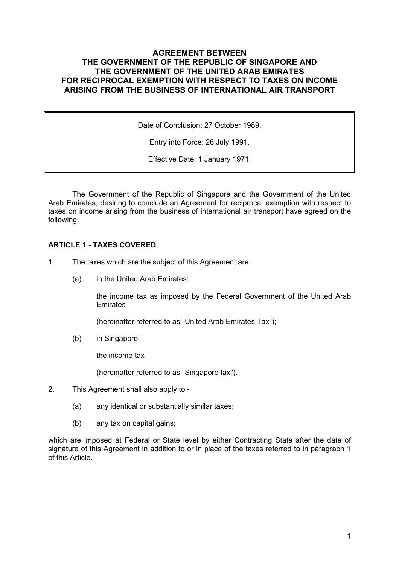# **AGREEMENT BETWEEN THE GOVERNMENT OF THE REPUBLIC OF SINGAPORE AND THE GOVERNMENT OF THE UNITED ARAB EMIRATES FOR RECIPROCAL EXEMPTION WITH RESPECT TO TAXES ON INCOME ARISING FROM THE BUSINESS OF INTERNATIONAL AIR TRANSPORT**

Date of Conclusion: 27 October 1989.

Entry into Force: 26 July 1991.

Effective Date: 1 January 1971.

The Government of the Republic of Singapore and the Government of the United Arab Emirates, desiring to conclude an Agreement for reciprocal exemption with respect to taxes on income arising from the business of international air transport have agreed on the following:

## **ARTICLE 1 - TAXES COVERED**

- 1. The taxes which are the subject of this Agreement are:
	- (a) in the United Arab Emirates:

the income tax as imposed by the Federal Government of the United Arab **Emirates** 

(hereinafter referred to as "United Arab Emirates Tax");

(b) in Singapore:

the income tax

(hereinafter referred to as "Singapore tax").

- 2. This Agreement shall also apply to
	- (a) any identical or substantially similar taxes;
	- (b) any tax on capital gains;

which are imposed at Federal or State level by either Contracting State after the date of signature of this Agreement in addition to or in place of the taxes referred to in paragraph 1 of this Article.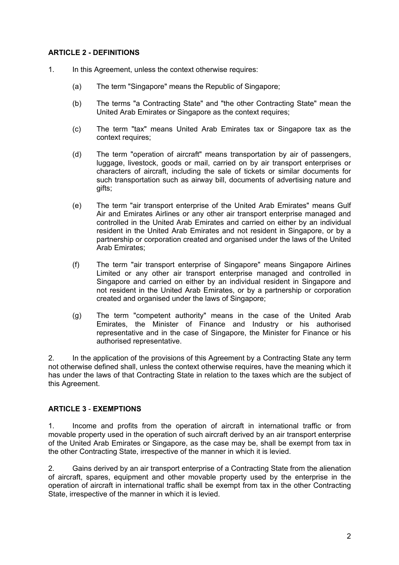# **ARTICLE 2 - DEFINITIONS**

- 1. In this Agreement, unless the context otherwise requires:
	- (a) The term "Singapore" means the Republic of Singapore;
	- (b) The terms "a Contracting State" and "the other Contracting State" mean the United Arab Emirates or Singapore as the context requires;
	- (c) The term "tax" means United Arab Emirates tax or Singapore tax as the context requires:
	- (d) The term "operation of aircraft" means transportation by air of passengers, luggage, livestock, goods or mail, carried on by air transport enterprises or characters of aircraft, including the sale of tickets or similar documents for such transportation such as airway bill, documents of advertising nature and gifts;
	- (e) The term "air transport enterprise of the United Arab Emirates" means Gulf Air and Emirates Airlines or any other air transport enterprise managed and controlled in the United Arab Emirates and carried on either by an individual resident in the United Arab Emirates and not resident in Singapore, or by a partnership or corporation created and organised under the laws of the United Arab Emirates;
	- (f) The term "air transport enterprise of Singapore" means Singapore Airlines Limited or any other air transport enterprise managed and controlled in Singapore and carried on either by an individual resident in Singapore and not resident in the United Arab Emirates, or by a partnership or corporation created and organised under the laws of Singapore;
	- (g) The term "competent authority" means in the case of the United Arab Emirates, the Minister of Finance and Industry or his authorised representative and in the case of Singapore, the Minister for Finance or his authorised representative.

2. In the application of the provisions of this Agreement by a Contracting State any term not otherwise defined shall, unless the context otherwise requires, have the meaning which it has under the laws of that Contracting State in relation to the taxes which are the subject of this Agreement.

## **ARTICLE 3** - **EXEMPTIONS**

1. Income and profits from the operation of aircraft in international traffic or from movable property used in the operation of such aircraft derived by an air transport enterprise of the United Arab Emirates or Singapore, as the case may be, shall be exempt from tax in the other Contracting State, irrespective of the manner in which it is levied.

2. Gains derived by an air transport enterprise of a Contracting State from the alienation of aircraft, spares, equipment and other movable property used by the enterprise in the operation of aircraft in international traffic shall be exempt from tax in the other Contracting State, irrespective of the manner in which it is levied.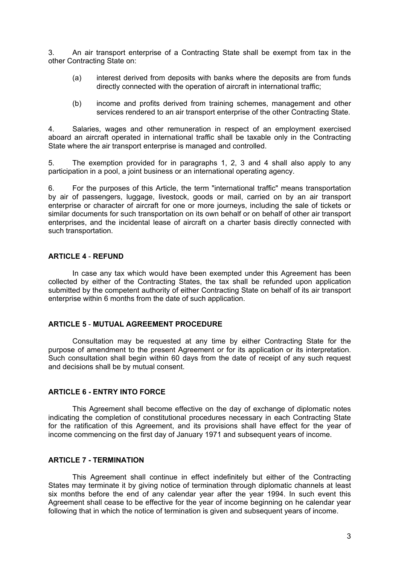3. An air transport enterprise of a Contracting State shall be exempt from tax in the other Contracting State on:

- (a) interest derived from deposits with banks where the deposits are from funds directly connected with the operation of aircraft in international traffic;
- (b) income and profits derived from training schemes, management and other services rendered to an air transport enterprise of the other Contracting State.

4. Salaries, wages and other remuneration in respect of an employment exercised aboard an aircraft operated in international traffic shall be taxable only in the Contracting State where the air transport enterprise is managed and controlled.

5. The exemption provided for in paragraphs 1, 2, 3 and 4 shall also apply to any participation in a pool, a joint business or an international operating agency.

6. For the purposes of this Article, the term "international traffic" means transportation by air of passengers, luggage, livestock, goods or mail, carried on by an air transport enterprise or character of aircraft for one or more journeys, including the sale of tickets or similar documents for such transportation on its own behalf or on behalf of other air transport enterprises, and the incidental lease of aircraft on a charter basis directly connected with such transportation.

### **ARTICLE 4** - **REFUND**

In case any tax which would have been exempted under this Agreement has been collected by either of the Contracting States, the tax shall be refunded upon application submitted by the competent authority of either Contracting State on behalf of its air transport enterprise within 6 months from the date of such application.

## **ARTICLE 5** - **MUTUAL AGREEMENT PROCEDURE**

Consultation may be requested at any time by either Contracting State for the purpose of amendment to the present Agreement or for its application or its interpretation. Such consultation shall begin within 60 days from the date of receipt of any such request and decisions shall be by mutual consent.

## **ARTICLE 6 - ENTRY INTO FORCE**

This Agreement shall become effective on the day of exchange of diplomatic notes indicating the completion of constitutional procedures necessary in each Contracting State for the ratification of this Agreement, and its provisions shall have effect for the year of income commencing on the first day of January 1971 and subsequent years of income.

### **ARTICLE 7 - TERMINATION**

This Agreement shall continue in effect indefinitely but either of the Contracting States may terminate it by giving notice of termination through diplomatic channels at least six months before the end of any calendar year after the year 1994. In such event this Agreement shall cease to be effective for the year of income beginning on he calendar year following that in which the notice of termination is given and subsequent years of income.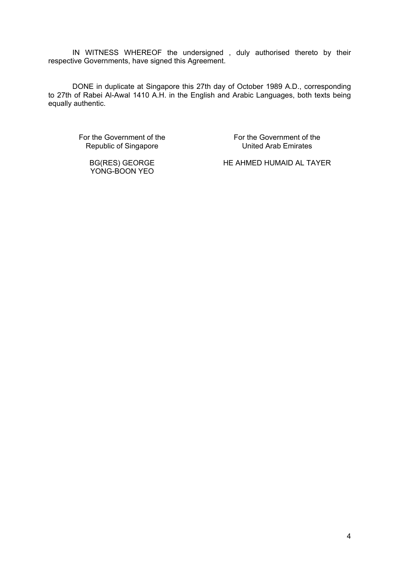IN WITNESS WHEREOF the undersigned , duly authorised thereto by their respective Governments, have signed this Agreement.

DONE in duplicate at Singapore this 27th day of October 1989 A.D., corresponding to 27th of Rabei Al-Awal 1410 A.H. in the English and Arabic Languages, both texts being equally authentic.

For the Government of the Republic of Singapore

> BG(RES) GEORGE YONG-BOON YEO

For the Government of the United Arab Emirates

HE AHMED HUMAID AL TAYER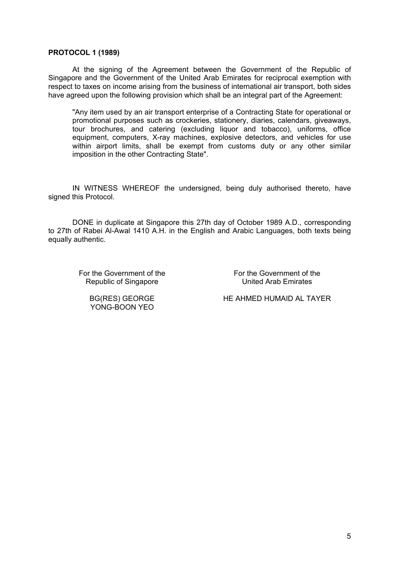#### **PROTOCOL 1 (1989)**

At the signing of the Agreement between the Government of the Republic of Singapore and the Government of the United Arab Emirates for reciprocal exemption with respect to taxes on income arising from the business of international air transport, both sides have agreed upon the following provision which shall be an integral part of the Agreement:

"Any item used by an air transport enterprise of a Contracting State for operational or promotional purposes such as crockeries, stationery, diaries, calendars, giveaways, tour brochures, and catering (excluding liquor and tobacco), uniforms, office equipment, computers, X-ray machines, explosive detectors, and vehicles for use within airport limits, shall be exempt from customs duty or any other similar imposition in the other Contracting State".

IN WITNESS WHEREOF the undersigned, being duly authorised thereto, have signed this Protocol.

DONE in duplicate at Singapore this 27th day of October 1989 A.D., corresponding to 27th of Rabei Al-Awal 1410 A.H. in the English and Arabic Languages, both texts being equally authentic.

For the Government of the Republic of Singapore

For the Government of the United Arab Emirates

BG(RES) GEORGE YONG-BOON YEO

HE AHMED HUMAID AL TAYER